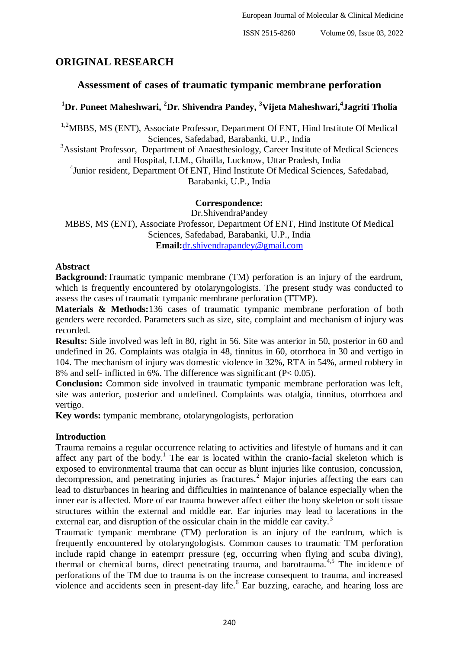# **ORIGINAL RESEARCH**

# **Assessment of cases of traumatic tympanic membrane perforation**

# **<sup>1</sup>Dr. Puneet Maheshwari, <sup>2</sup>Dr. Shivendra Pandey, <sup>3</sup>Vijeta Maheshwari,<sup>4</sup> Jagriti Tholia**

<sup>1,2</sup>MBBS, MS (ENT), Associate Professor, Department Of ENT, Hind Institute Of Medical Sciences, Safedabad, Barabanki, U.P., India

<sup>3</sup>Assistant Professor, Department of Anaesthesiology, Career Institute of Medical Sciences and Hospital, I.I.M., Ghailla, Lucknow, Uttar Pradesh, India

4 Junior resident, Department Of ENT, Hind Institute Of Medical Sciences, Safedabad, Barabanki, U.P., India

### **Correspondence:**

Dr.ShivendraPandey

MBBS, MS (ENT), Associate Professor, Department Of ENT, Hind Institute Of Medical Sciences, Safedabad, Barabanki, U.P., India **Email:**[dr.shivendrapandey@gmail.com](about:blank)

#### **Abstract**

**Background:**Traumatic tympanic membrane (TM) perforation is an injury of the eardrum, which is frequently encountered by otolaryngologists. The present study was conducted to assess the cases of traumatic tympanic membrane perforation (TTMP).

**Materials & Methods:**136 cases of traumatic tympanic membrane perforation of both genders were recorded. Parameters such as size, site, complaint and mechanism of injury was recorded.

**Results:** Side involved was left in 80, right in 56. Site was anterior in 50, posterior in 60 and undefined in 26. Complaints was otalgia in 48, tinnitus in 60, otorrhoea in 30 and vertigo in 104. The mechanism of injury was domestic violence in 32%, RTA in 54%, armed robbery in 8% and self- inflicted in 6%. The difference was significant (P< 0.05).

**Conclusion:** Common side involved in traumatic tympanic membrane perforation was left, site was anterior, posterior and undefined. Complaints was otalgia, tinnitus, otorrhoea and vertigo.

**Key words:** tympanic membrane, otolaryngologists, perforation

#### **Introduction**

Trauma remains a regular occurrence relating to activities and lifestyle of humans and it can affect any part of the body.<sup>1</sup> The ear is located within the cranio-facial skeleton which is exposed to environmental trauma that can occur as blunt injuries like contusion, concussion, decompression, and penetrating injuries as fractures.<sup>2</sup> Major injuries affecting the ears can lead to disturbances in hearing and difficulties in maintenance of balance especially when the inner ear is affected. More of ear trauma however affect either the bony skeleton or soft tissue structures within the external and middle ear. Ear injuries may lead to lacerations in the external ear, and disruption of the ossicular chain in the middle ear cavity.<sup>3</sup>

Traumatic tympanic membrane (TM) perforation is an injury of the eardrum, which is frequently encountered by otolaryngologists. Common causes to traumatic TM perforation include rapid change in eatemprr pressure (eg, occurring when flying and scuba diving), thermal or chemical burns, direct penetrating trauma, and barotrauma.<sup>4,5</sup> The incidence of perforations of the TM due to trauma is on the increase consequent to trauma, and increased violence and accidents seen in present-day life. $<sup>6</sup>$  Ear buzzing, earache, and hearing loss are</sup>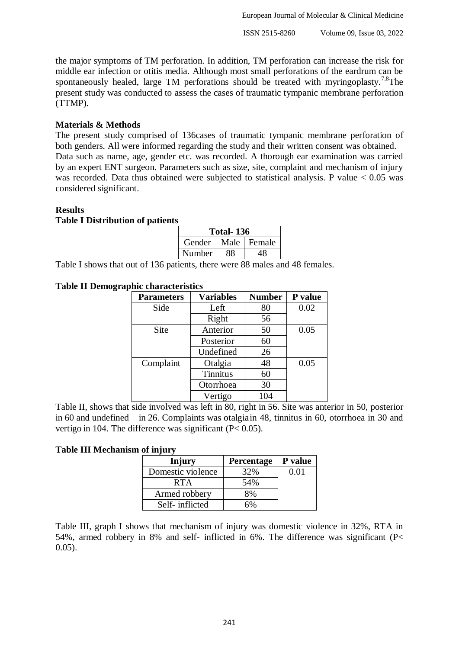European Journal of Molecular & Clinical Medicine

the major symptoms of TM perforation. In addition, TM perforation can increase the risk for middle ear infection or otitis media. Although most small perforations of the eardrum can be spontaneously healed, large TM perforations should be treated with myringoplasty.<sup>7,8</sup>The present study was conducted to assess the cases of traumatic tympanic membrane perforation (TTMP).

## **Materials & Methods**

The present study comprised of 136cases of traumatic tympanic membrane perforation of both genders. All were informed regarding the study and their written consent was obtained. Data such as name, age, gender etc. was recorded. A thorough ear examination was carried by an expert ENT surgeon. Parameters such as size, site, complaint and mechanism of injury was recorded. Data thus obtained were subjected to statistical analysis. P value  $< 0.05$  was considered significant.

# **Results**

## **Table I Distribution of patients**

| <b>Total-136</b>       |  |  |  |  |
|------------------------|--|--|--|--|
| Gender   Male   Female |  |  |  |  |
| Number                 |  |  |  |  |

Table I shows that out of 136 patients, there were 88 males and 48 females.

# **Table II Demographic characteristics**

| <b>Parameters</b> | <b>Variables</b> | <b>Number</b> | P value |
|-------------------|------------------|---------------|---------|
| Side              | Left             | 80            | 0.02    |
|                   | Right            | 56            |         |
| Site              | Anterior         | 50            | 0.05    |
|                   | Posterior        | 60            |         |
|                   | Undefined        | 26            |         |
| Complaint         | Otalgia          | 48            | 0.05    |
|                   | <b>Tinnitus</b>  | 60            |         |
|                   | Otorrhoea        | 30            |         |
|                   | Vertigo          | 104           |         |

Table II, shows that side involved was left in 80, right in 56. Site was anterior in 50, posterior in 60 and undefined in 26. Complaints was otalgiain 48, tinnitus in 60, otorrhoea in 30 and vertigo in 104. The difference was significant  $(P< 0.05)$ .

## **Table III Mechanism of injury**

| Injury            | <b>Percentage</b> | <b>P</b> value |
|-------------------|-------------------|----------------|
| Domestic violence | 32%               | 0.01           |
| <b>RTA</b>        | 54%               |                |
| Armed robbery     | 8%                |                |
| Self-inflicted    |                   |                |

Table III, graph I shows that mechanism of injury was domestic violence in 32%, RTA in 54%, armed robbery in 8% and self- inflicted in 6%. The difference was significant (P< 0.05).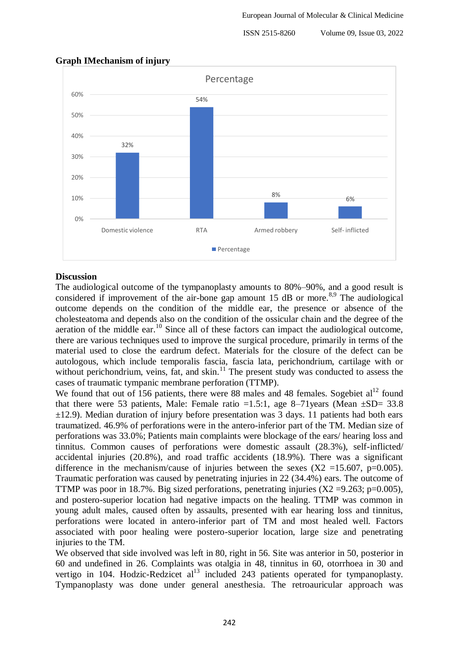ISSN 2515-8260 Volume 09, Issue 03, 2022



### **Graph IMechanism of injury**

### **Discussion**

The audiological outcome of the tympanoplasty amounts to 80%–90%, and a good result is considered if improvement of the air-bone gap amount 15 dB or more.<sup>8,9</sup> The audiological outcome depends on the condition of the middle ear, the presence or absence of the cholesteatoma and depends also on the condition of the ossicular chain and the degree of the aeration of the middle ear.<sup>10</sup> Since all of these factors can impact the audiological outcome, there are various techniques used to improve the surgical procedure, primarily in terms of the material used to close the eardrum defect. Materials for the closure of the defect can be autologous, which include temporalis fascia, fascia lata, perichondrium, cartilage with or without perichondrium, veins, fat, and skin. $11$  The present study was conducted to assess the cases of traumatic tympanic membrane perforation (TTMP).

We found that out of 156 patients, there were 88 males and 48 females. Sogebiet  $al<sup>12</sup>$  found that there were 53 patients, Male: Female ratio  $=1.5:1$ , age 8–71 years (Mean  $\pm SD = 33.8$ )  $\pm$ 12.9). Median duration of injury before presentation was 3 days. 11 patients had both ears traumatized. 46.9% of perforations were in the antero-inferior part of the TM. Median size of perforations was 33.0%; Patients main complaints were blockage of the ears/ hearing loss and tinnitus. Common causes of perforations were domestic assault (28.3%), self-inflicted/ accidental injuries (20.8%), and road traffic accidents (18.9%). There was a significant difference in the mechanism/cause of injuries between the sexes  $(X2 = 15.607, p=0.005)$ . Traumatic perforation was caused by penetrating injuries in 22 (34.4%) ears. The outcome of TTMP was poor in 18.7%. Big sized perforations, penetrating injuries  $(X2 = 9.263; p=0.005)$ , and postero-superior location had negative impacts on the healing. TTMP was common in young adult males, caused often by assaults, presented with ear hearing loss and tinnitus, perforations were located in antero-inferior part of TM and most healed well. Factors associated with poor healing were postero-superior location, large size and penetrating injuries to the TM.

We observed that side involved was left in 80, right in 56. Site was anterior in 50, posterior in 60 and undefined in 26. Complaints was otalgia in 48, tinnitus in 60, otorrhoea in 30 and vertigo in 104. Hodzic-Redzicet  $al<sup>13</sup>$  included 243 patients operated for tympanoplasty. Tympanoplasty was done under general anesthesia. The retroauricular approach was